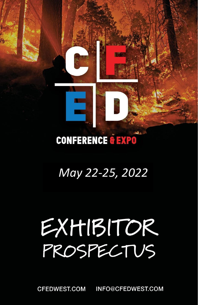# **CONFERENCE & EXPO**

# *May 22-25, 2022*

# EXHIBITOR PROSPECTUS

INFO@CFEDWEST.COM **CFEDWEST.COM**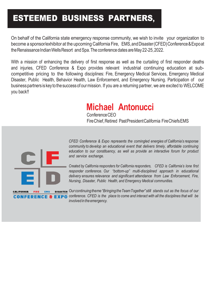# ESTEEMED BUSINESS PARTNERS**,**

On behalf of the California state emergency response community, we wish to invite your organization to become a sponsor/exhibitor at the upcoming California Fire, EMS, and Disaster (CFED) Conference & Expo at the Renaissance Indian Wells Resort and Spa. The conference dates are May 22-25, 2022.

With a mission of enhancing the delivery of first response as well as the curtailing of first responder deaths and injuries, CFED Conference & Expo provides relevant industrial continuing education at subcompetitive pricing to the following disciplines: Fire, Emergency Medical Services, Emergency Medical Disaster, Public Health, Behavior Health, Law Enforcement, and Emergency Nursing. Participation of our business partners is key to the success of our mission. If you are a returning partner, we are excited to WELCOME you back!!

# **Michael Antonucci**

Conference CEO FireChief,Retired PastPresidentCalifornia FireChiefsEMS



**CALIFORNIA** 

*CFED Conference & Expo represents the comingled energies of California's response community to develop an educational event that delivers timely, affordable continuing education to our constituency, as well as provide an interactive forum for product and service exchange.*

*Created by California responders for California responders, CFED is California's lone first responder conference. Our "bottom-up" multi-disciplined approach in educational delivery ensures relevance and significant attendance from Law Enforcement, Fire, Nursing, Disaster, Public Health, and Emergency Medical communities.*

*Ourcontinuingtheme"BringingtheTeamTogether"still stands out as the focus of our conference. CFED is the place to come and interact with all the disciplines that will be involved* in the emergency.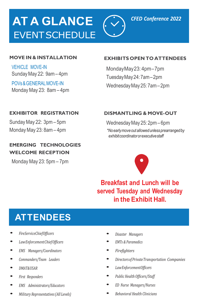# **AT A GLANCE EVENT SCHEDULE**



#### **MOVE IN & INSTALLATION**

**VEHICLE MOVE-IN** Sunday May 22: 9am – 4pm

POVs&GENERALMOVE-IN Monday May 23: 8am – 4pm

#### **EXHIBITS OPEN TO ATTENDEES**

MondayMay23: 4pm–7pm TuesdayMay24:7am–2pm WednesdayMay25: 7am–2pm

#### **EXHIBITOR REGISTRATION**

Sunday May 22: 3pm – 5pm Monday May 23: 8am – 4pm

#### **EMERGING TECHNOLOGIES WELCOME RECEPTION**

Monday May 23: 5pm – 7pm

#### **DISMANTLING & MOVE-OUT**

WednesdayMay 25: 2pm – 6pm *\*Noearlymoveout allowedunlessprearrangedby exhibitcoordinatororexecutivestaff*



**Breakfast and Lunch will be served Tuesday and Wednesday in the Exhibit Hall.**

### **ATTENDEES**

- *• FireServiceChiefOfficers*
- *• LawEnforcementChiefOfficers*
- *• EMS Managers/Coordinators*
- *• Commanders/Team Leaders*
- *• DMAT&USAR*
- *• First Responders*
- *• EMS Administrators/Educators*
- *• Military Representatives(All Levels)*
- *• Disaster Managers*
- *• EMTs & Paramedics*
- *• Firefighters*
- *• DirectorsofPrivateTransportation Companies*
- *• LawEnforcementOfficers*
- *• Public Health Officers/Staff*
- *• ED Nurse Managers/Nurses*
- *• Behavioral Health Clinicians*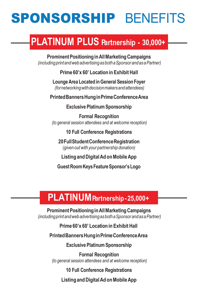# SPONSORSHIP BENEFITS

# **PLATINUM PLUS Partnership - 30,000+**

**ProminentPositioninginAllMarketingCampaigns** *(includingprintandwebadvertisingasbothaSponsorandasaPartner)*

**Prime 60'x 60' Location in Exhibit Hall**

**LoungeArea Located inGeneral Session Foyer** *(fornetworkingwithdecisionmakersandattendees)*

**PrintedBannersHunginPrimeConferenceArea**

**Exclusive PlatinumSponsorship**

**Formal Recognition** *(to general session attendees and at welcome reception)*

**10 Full Conference Registrations**

**20FullStudentConferenceRegistration** *(given outwith your partnership donation)*

**ListingandDigitalAd onMobileApp**

**GuestRoomKeysFeatureSponsor'sLogo**

### **PLATINUMPartnership-25,000+**

**ProminentPositioninginAllMarketingCampaigns** *(includingprintandwebadvertisingasbothaSponsorandasaPartner)*

**Prime 60'x 60' Location in Exhibit Hall**

**PrintedBannersHunginPrimeConferenceArea**

**Exclusive PlatinumSponsorship**

**Formal Recognition** *(to general session attendees and at welcome reception)*

**10 Full Conference Registrations**

**ListingandDigitalAd onMobileApp**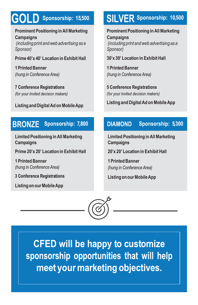# Sponsorship: 15,500

**Prominent Positioning inAllMarketing Campaigns** *(including print andweb advertising as a Sponsor)*

#### **Prime 40'x 40' Location in Exhibit Hall**

**1 Printed Banner** (hung in Conference Area)

**7 Conference Registrations** (for your invited decision makers)

**Listing andDigitalAd onMobileApp**

#### **BRONZE** Sponsorship: 7,800

**Limited Positioning inAllMarketing Campaigns**

**Prime 20'x 20' Location in Exhibit Hall**

**1 Printed Banner** (hung in Conference Area)

**3 Conference Registrations** 

**ListingonourMobileApp**

### **SILVER** Sponsorship: 10,500

**Prominent Positioning inAllMarketing Campaigns** *(including print andweb advertising as a Sponsor)*

#### **30'x 30' Location in Exhibit Hall**

**1 Printed Banner** (hung in Conference Area)

**5 Conference Registrations** (for your invited decision makers)

**Listing andDigitalAd onMobileApp**

#### **DIAMOND** Sponsorship: 5,300

**Limited Positioning inAllMarketing Campaigns**

**20'x 20' Location in Exhibit Hall**

**1 Printed Banner** (hung in Conference Area)

**ListingonourMobileApp**



**CFED will be happy to customize** sponsorship opportunities that will help meet your marketing objectives.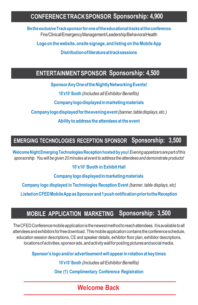### **CONFERENCETRACKSPONSOR Sponsorship: 4,900**

**Bethe exclusiveTracksponsorforoneofthe educational tracks at theconference.** Fire/Clinical/EmergencyManagement/Leadership/BehavioralHealth

**Logoon thewebsite,onsite signage,and listing on theMobileApp**

**Distributionofliteratureattracksessions**

### **ENTERTAINMENT SPONSOR Sponsorship: 4,500**

**SponsorAny One oftheNightlyNetworkingEvents!**

**10'x10' Booth** *(Includes all Exhibitor Benefits)*

**Companylogodisplayedinmarketingmaterials**

**Companylogodisplayedfortheeveningevent***(banner,table displays, etc.)*

**Ability to address the attendees at the event**

### **EMERGING TECHNOLOGIES RECEPTION SPONSOR Sponsorship: 3,500**

**WelcomeNightEmergingTechnologiesReception hosted byyou!***Evening appetizers are part of this sponsorship. Youwill be given 20 minutes at event to address the attendees and demonstrate products!*

#### **10'x10' Booth in Exhibit Hall**

**Companylogodisplayedinmarketingmaterials**

**Company logo displayed in Technologies Reception Event** *(banner, table displays, etc)*

**ListedonCFEDMobileAppasSponsorand 1 pushnotificationpriortotheReception**

#### Sponsorship: 3,500 MOBILE APPLICATION MARKETING

TheCFEDConference mobile application is the newest method to reachattendees. Itis available to all attendees and exhibitors forfree download. This mobile application contains the conference schedule, education session descriptions, CE and speaker details, exhibitor floor plan, exhibitor descriptions, locations of activities, sponsor ads, and activitywall for posting pictures and social media.

**Sponsor'slogoand/or advertisementwill appearin rotationat keytimes**

**10'x10' Booth** *(Includes all Exhibitor Benefits)*

**One (1) Complimentary Conference Registration**

### **Welcome Back**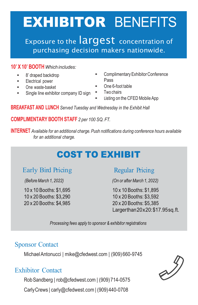# EXHIBITOR BENEFITS

Exposure to the **largest** concentration of purchasing decision makers nationwide.

#### **10' X 10' BOOTH** *Which includes:*

- 8' draped backdrop
- Electrical power
- One waste-basket
- Single line exhibitor company ID sign Two chairs
- ComplimentaryExhibitor Conference Pass
- One 6-foot table
	-
	- <sup>L</sup>isting on the CFED Mobile App

**BREAKFAST AND LUNCH** *Served Tuesday and Wednesday in the Exhibit Hall*

**COMPLIMENTARY BOOTH STAFF** *2 per 100 SQ. FT.*

**INTERNET** *Available for an additional charge. Push notifications during conference hours available for an additional charge.*

### **COST TO EXHIBIT**

### Early Bird Pricing

(Before March 1, 2022)

10 x 10 Booths: \$1,695 10 x 20 Booths: \$3,290 20 x 20 Booths: \$4,985

### **Regular Pricing**

(On or after March 1, 2022)

10 x 10 Booths: \$1,895 10 x 20 Booths: \$3,592 20 x 20 Booths: \$5,385 Largerthan20x20:\$17.95sg.ft.

Processing fees apply to sponsor & exhibitor registrations

### Sponsor Contact

MichaelAntonucci | [mike@cfedwest.com](mailto:mike@cfedwest.com) | (909) 660-9745

### Exhibitor Contact

RobSandberg | [rob@cfedwest.com](mailto:rob@cfedwest.com) | (909)714-0575

CarlyCrews | [carly@cfedwest.com](mailto:carly@cfedwest.com) | (909)440-0708